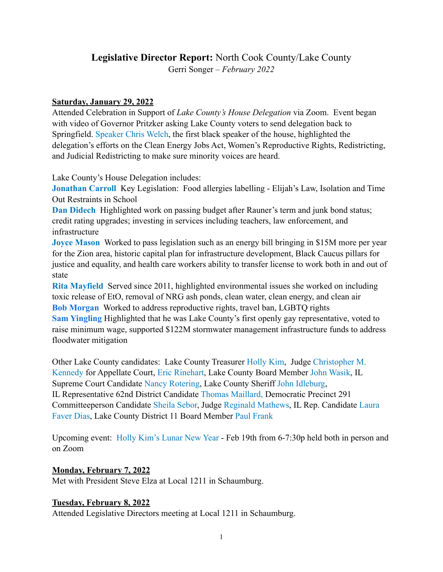# **Legislative Director Report:** North Cook County/Lake County

Gerri Songer – *February 2022*

## **Saturday, January 29, 2022**

Attended Celebration in Support of *Lake County's House Delegation* via Zoom. Event began with video of Governor Pritzker asking Lake County voters to send delegation back to Springfield. [Speaker Chris Welch,](https://www.emanuelchriswelch.com) the first black speaker of the house, highlighted the delegation's efforts on the Clean Energy Jobs Act, Women's Reproductive Rights, Redistricting, and Judicial Redistricting to make sure minority voices are heard.

Lake County's House Delegation includes:

**[Jonathan Carroll](https://secure.actblue.com/donate/fojc)** Key Legislation: Food allergies labelling - Elijah's Law, Isolation and Time Out Restraints in School

**[Dan Didech](https://secure.actblue.com/donate/didech)** Highlighted work on passing budget after Rauner's term and junk bond status; credit rating upgrades; investing in services including teachers, law enforcement, and infrastructure

**[Joyce Mason](https://secure.actblue.com/donate/joycemason)** Worked to pass legislation such as an energy bill bringing in \$15M more per year for the Zion area, historic capital plan for infrastructure development, Black Caucus pillars for justice and equality, and health care workers ability to transfer license to work both in and out of state

**[Rita Mayfield](https://secure.actblue.com/donate/rita-mayfield-1)** Served since 2011, highlighted environmental issues she worked on including toxic release of EtO, removal of NRG ash ponds, clean water, clean energy, and clean air **[Bob Morgan](https://secure.actblue.com/donate/friends-of-bob-morgan-1)** Worked to address reproductive rights, travel ban, LGBTQ rights **[Sam Yingling](https://secure.actblue.com/donate/sam-yingling-1)** Highlighted that he was Lake County's first openly gay representative, voted to raise minimum wage, supported \$122M stormwater management infrastructure funds to address floodwater mitigation

Other Lake County candidates: Lake County Treasurer [Holly Kim,](http://VoteHollyKim.com) Judge [Christopher M.](https://www.19thcircuitcourt.state.il.us/2155/Judge-Christopher-M-Kennedy)  [Kennedy](https://www.19thcircuitcourt.state.il.us/2155/Judge-Christopher-M-Kennedy) for Appellate Court, [Eric Rinehart,](https://rinehartforlakecounty.com) Lake County Board Member [John Wasik](https://www.lakecountyil.gov/2360/John-Wasik-District-6), IL Supreme Court Candidate [Nancy Rotering,](https://www.nancyroteringforjustice.com) Lake County Sheriff [John Idleburg,](https://www.lakecountyil.gov/directory.aspx?EID=24) IL Representative 62nd District Candidate [Thomas Maillard,](mailto:votethomasmaillard@gmail.com) Democratic Precinct 291 Committeeperson Candidate [Sheila Sebor,](https://vernontownship.com/directory.aspx?EID=20) Judge [Reginald Mathews,](https://www.19thcircuitcourt.state.il.us/2111/Judge-Reginald-C-Mathews) IL Rep. Candidate [Laura](https://laurafaverdias.com)  [Faver Dias](https://laurafaverdias.com), Lake County District 11 Board Member [Paul Frank](mailto:no_reply@apple.com)

Upcoming event: [Holly Kim's Lunar New Year](https://secure.actblue.com/donate/lunar2022) - Feb 19th from 6-7:30p held both in person and on Zoom

## **Monday, February 7, 2022**

Met with President Steve Elza at Local 1211 in Schaumburg.

## **Tuesday, February 8, 2022**

Attended Legislative Directors meeting at Local 1211 in Schaumburg.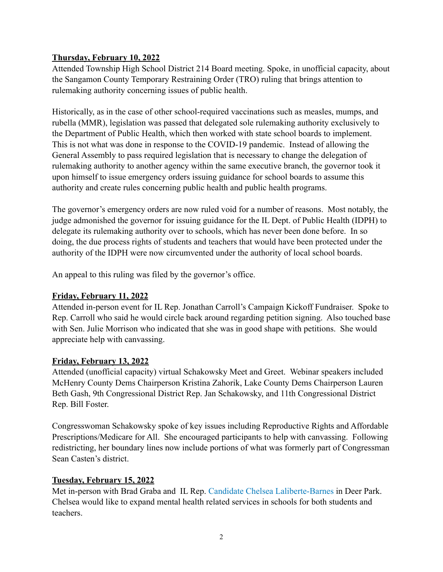## **Thursday, February 10, 2022**

Attended Township High School District 214 Board meeting. Spoke, in unofficial capacity, about the Sangamon County Temporary Restraining Order (TRO) ruling that brings attention to rulemaking authority concerning issues of public health.

Historically, as in the case of other school-required vaccinations such as measles, mumps, and rubella (MMR), legislation was passed that delegated sole rulemaking authority exclusively to the Department of Public Health, which then worked with state school boards to implement. This is not what was done in response to the COVID-19 pandemic. Instead of allowing the General Assembly to pass required legislation that is necessary to change the delegation of rulemaking authority to another agency within the same executive branch, the governor took it upon himself to issue emergency orders issuing guidance for school boards to assume this authority and create rules concerning public health and public health programs.

The governor's emergency orders are now ruled void for a number of reasons. Most notably, the judge admonished the governor for issuing guidance for the IL Dept. of Public Health (IDPH) to delegate its rulemaking authority over to schools, which has never been done before. In so doing, the due process rights of students and teachers that would have been protected under the authority of the IDPH were now circumvented under the authority of local school boards.

An appeal to this ruling was filed by the governor's office.

## **Friday, February 11, 2022**

Attended in-person event for IL Rep. Jonathan Carroll's Campaign Kickoff Fundraiser. Spoke to Rep. Carroll who said he would circle back around regarding petition signing. Also touched base with Sen. Julie Morrison who indicated that she was in good shape with petitions. She would appreciate help with canvassing.

#### **Friday, February 13, 2022**

Attended (unofficial capacity) virtual Schakowsky Meet and Greet. Webinar speakers included McHenry County Dems Chairperson Kristina Zahorik, Lake County Dems Chairperson Lauren Beth Gash, 9th Congressional District Rep. Jan Schakowsky, and 11th Congressional District Rep. Bill Foster.

Congresswoman Schakowsky spoke of key issues including Reproductive Rights and Affordable Prescriptions/Medicare for All. She encouraged participants to help with canvassing. Following redistricting, her boundary lines now include portions of what was formerly part of Congressman Sean Casten's district.

## **Tuesday, February 15, 2022**

Met in-person with Brad Graba and IL Rep. [Candidate Chelsea Laliberte-Barnes](https://cherryhillcounseling.com/therapists/chelsea-laliberte-barnes-mssa-lsw/) in Deer Park. Chelsea would like to expand mental health related services in schools for both students and teachers.